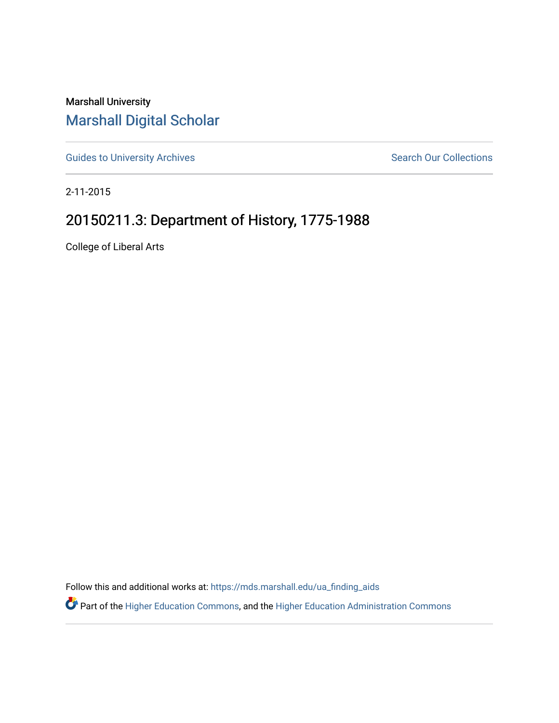Marshall University [Marshall Digital Scholar](https://mds.marshall.edu/)

[Guides to University Archives](https://mds.marshall.edu/ua_finding_aids) **Search Our Collections** Search Our Collections

2-11-2015

## 20150211.3: Department of History, 1775-1988

College of Liberal Arts

Follow this and additional works at: [https://mds.marshall.edu/ua\\_finding\\_aids](https://mds.marshall.edu/ua_finding_aids?utm_source=mds.marshall.edu%2Fua_finding_aids%2F74&utm_medium=PDF&utm_campaign=PDFCoverPages) 

Part of the [Higher Education Commons,](http://network.bepress.com/hgg/discipline/1245?utm_source=mds.marshall.edu%2Fua_finding_aids%2F74&utm_medium=PDF&utm_campaign=PDFCoverPages) and the [Higher Education Administration Commons](http://network.bepress.com/hgg/discipline/791?utm_source=mds.marshall.edu%2Fua_finding_aids%2F74&utm_medium=PDF&utm_campaign=PDFCoverPages)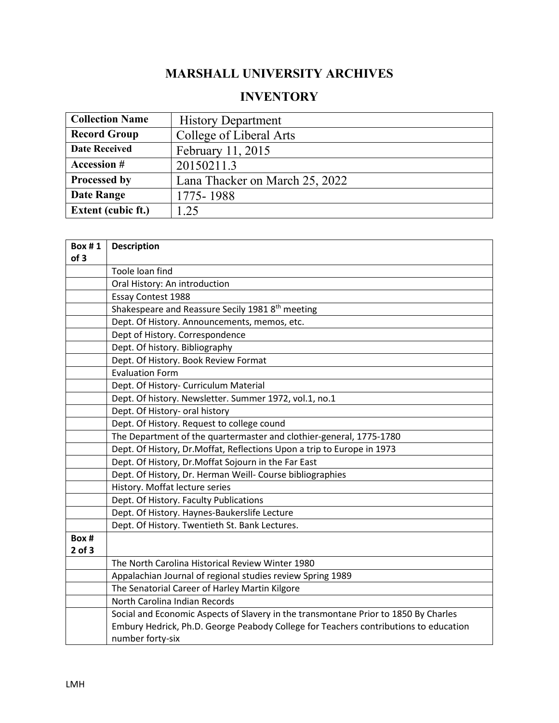## **MARSHALL UNIVERSITY ARCHIVES**

## **INVENTORY**

| <b>Collection Name</b>    | <b>History Department</b>      |
|---------------------------|--------------------------------|
| <b>Record Group</b>       | College of Liberal Arts        |
| <b>Date Received</b>      | February 11, 2015              |
| <b>Accession #</b>        | 20150211.3                     |
| Processed by              | Lana Thacker on March 25, 2022 |
| <b>Date Range</b>         | 1775-1988                      |
| <b>Extent (cubic ft.)</b> | .25                            |

| <b>Box #1</b><br>of 3 | <b>Description</b>                                                                   |
|-----------------------|--------------------------------------------------------------------------------------|
|                       | Toole loan find                                                                      |
|                       | Oral History: An introduction                                                        |
|                       | <b>Essay Contest 1988</b>                                                            |
|                       | Shakespeare and Reassure Secily 1981 8 <sup>th</sup> meeting                         |
|                       | Dept. Of History. Announcements, memos, etc.                                         |
|                       | Dept of History. Correspondence                                                      |
|                       | Dept. Of history. Bibliography                                                       |
|                       | Dept. Of History. Book Review Format                                                 |
|                       | <b>Evaluation Form</b>                                                               |
|                       | Dept. Of History- Curriculum Material                                                |
|                       | Dept. Of history. Newsletter. Summer 1972, vol.1, no.1                               |
|                       | Dept. Of History- oral history                                                       |
|                       | Dept. Of History. Request to college cound                                           |
|                       | The Department of the quartermaster and clothier-general, 1775-1780                  |
|                       | Dept. Of History, Dr.Moffat, Reflections Upon a trip to Europe in 1973               |
|                       | Dept. Of History, Dr.Moffat Sojourn in the Far East                                  |
|                       | Dept. Of History, Dr. Herman Weill- Course bibliographies                            |
|                       | History. Moffat lecture series                                                       |
|                       | Dept. Of History. Faculty Publications                                               |
|                       | Dept. Of History. Haynes-Baukerslife Lecture                                         |
|                       | Dept. Of History. Twentieth St. Bank Lectures.                                       |
| Box #                 |                                                                                      |
| $2$ of $3$            |                                                                                      |
|                       | The North Carolina Historical Review Winter 1980                                     |
|                       | Appalachian Journal of regional studies review Spring 1989                           |
|                       | The Senatorial Career of Harley Martin Kilgore                                       |
|                       | North Carolina Indian Records                                                        |
|                       | Social and Economic Aspects of Slavery in the transmontane Prior to 1850 By Charles  |
|                       | Embury Hedrick, Ph.D. George Peabody College for Teachers contributions to education |
|                       | number forty-six                                                                     |